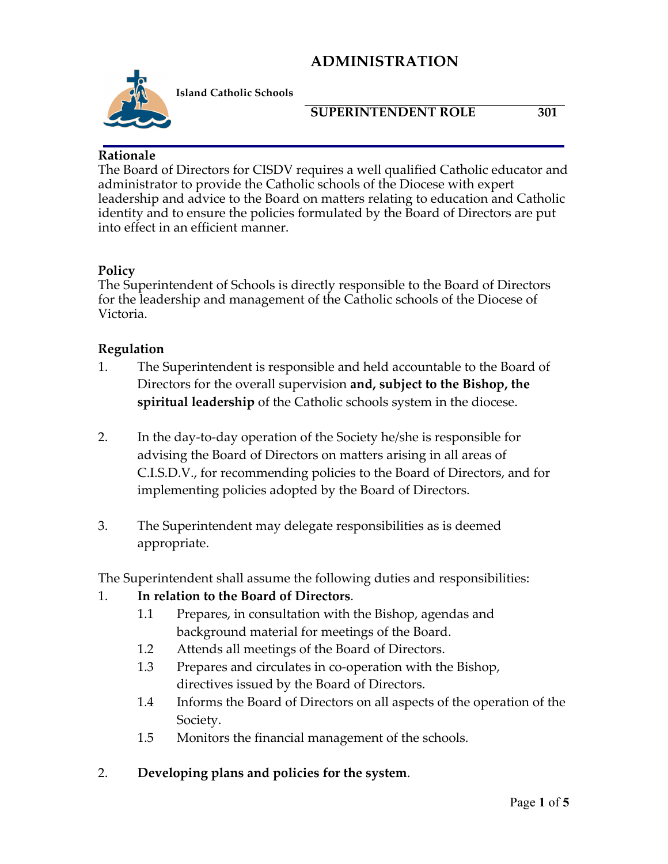

**Island Catholic Schools** 

#### **SUPERINTENDENT ROLE 301**

#### **Rationale**

The Board of Directors for CISDV requires a well qualified Catholic educator and administrator to provide the Catholic schools of the Diocese with expert leadership and advice to the Board on matters relating to education and Catholic identity and to ensure the policies formulated by the Board of Directors are put into effect in an efficient manner.

#### **Policy**

The Superintendent of Schools is directly responsible to the Board of Directors for the leadership and management of the Catholic schools of the Diocese of Victoria.

#### **Regulation**

- 1. The Superintendent is responsible and held accountable to the Board of Directors for the overall supervision **and, subject to the Bishop, the spiritual leadership** of the Catholic schools system in the diocese.
- 2. In the day-to-day operation of the Society he/she is responsible for advising the Board of Directors on matters arising in all areas of C.I.S.D.V., for recommending policies to the Board of Directors, and for implementing policies adopted by the Board of Directors.
- 3. The Superintendent may delegate responsibilities as is deemed appropriate.

The Superintendent shall assume the following duties and responsibilities:

## 1. **In relation to the Board of Directors**.

- 1.1 Prepares, in consultation with the Bishop, agendas and background material for meetings of the Board.
- 1.2 Attends all meetings of the Board of Directors.
- 1.3 Prepares and circulates in co-operation with the Bishop, directives issued by the Board of Directors.
- 1.4 Informs the Board of Directors on all aspects of the operation of the Society.
- 1.5 Monitors the financial management of the schools.
- 2. **Developing plans and policies for the system**.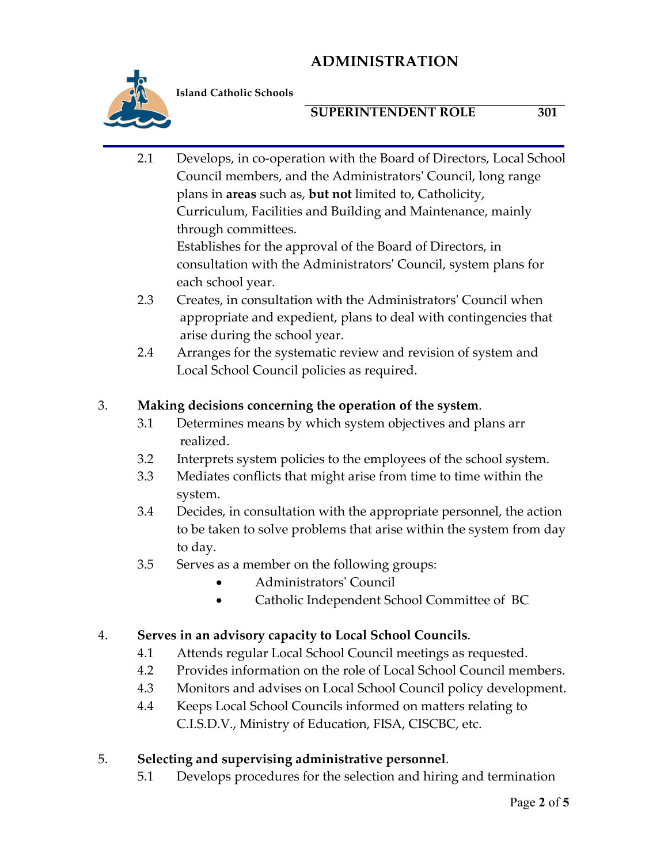

**Island Catholic Schools** 

## **SUPERINTENDENT ROLE 301**

2.1 Develops, in co-operation with the Board of Directors, Local School Council members, and the Administrators' Council, long range plans in **areas** such as, **but not** limited to, Catholicity, Curriculum, Facilities and Building and Maintenance, mainly through committees.

 Establishes for the approval of the Board of Directors, in consultation with the Administrators' Council, system plans for each school year.

- 2.3 Creates, in consultation with the Administrators' Council when appropriate and expedient, plans to deal with contingencies that arise during the school year.
- 2.4 Arranges for the systematic review and revision of system and Local School Council policies as required.

# 3. **Making decisions concerning the operation of the system**.

- 3.1 Determines means by which system objectives and plans arr realized.
- 3.2 Interprets system policies to the employees of the school system.
- 3.3 Mediates conflicts that might arise from time to time within the system.
- 3.4 Decides, in consultation with the appropriate personnel, the action to be taken to solve problems that arise within the system from day to day.
- 3.5 Serves as a member on the following groups:
	- Administrators' Council
	- Catholic Independent School Committee of BC

## 4. **Serves in an advisory capacity to Local School Councils**.

- 4.1 Attends regular Local School Council meetings as requested.
- 4.2 Provides information on the role of Local School Council members.
- 4.3 Monitors and advises on Local School Council policy development.
- 4.4 Keeps Local School Councils informed on matters relating to C.I.S.D.V., Ministry of Education, FISA, CISCBC, etc.

# 5. **Selecting and supervising administrative personnel**.

5.1 Develops procedures for the selection and hiring and termination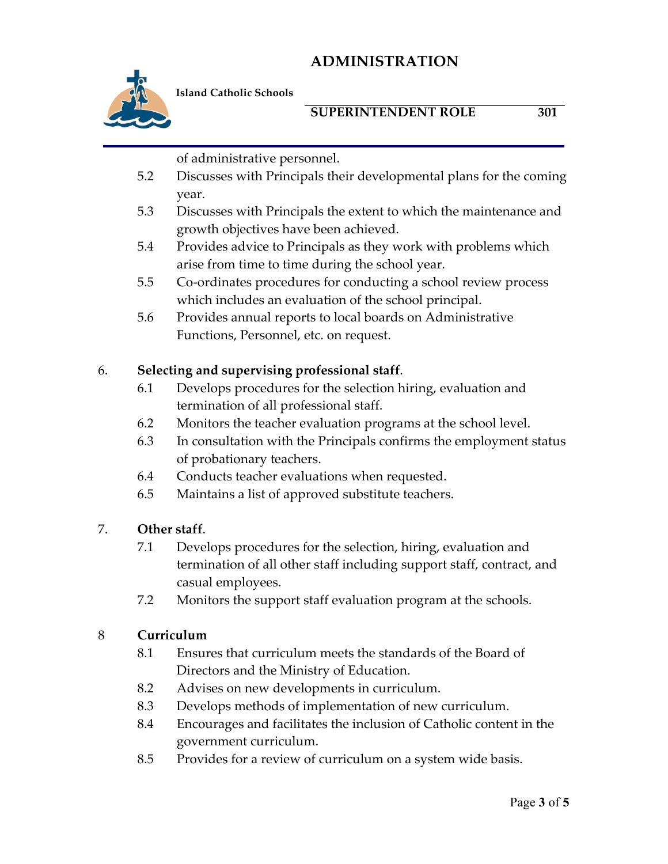

**Island Catholic Schools** 

#### **SUPERINTENDENT ROLE 301**

- of administrative personnel.
- 5.2 Discusses with Principals their developmental plans for the coming year.
- 5.3 Discusses with Principals the extent to which the maintenance and growth objectives have been achieved.
- 5.4 Provides advice to Principals as they work with problems which arise from time to time during the school year.
- 5.5 Co-ordinates procedures for conducting a school review process which includes an evaluation of the school principal.
- 5.6 Provides annual reports to local boards on Administrative Functions, Personnel, etc. on request.

#### 6. **Selecting and supervising professional staff**.

- 6.1 Develops procedures for the selection hiring, evaluation and termination of all professional staff.
- 6.2 Monitors the teacher evaluation programs at the school level.
- 6.3 In consultation with the Principals confirms the employment status of probationary teachers.
- 6.4 Conducts teacher evaluations when requested.
- 6.5 Maintains a list of approved substitute teachers.

#### 7. **Other staff**.

- 7.1 Develops procedures for the selection, hiring, evaluation and termination of all other staff including support staff, contract, and casual employees.
- 7.2 Monitors the support staff evaluation program at the schools.

#### 8 **Curriculum**

- 8.1 Ensures that curriculum meets the standards of the Board of Directors and the Ministry of Education.
- 8.2 Advises on new developments in curriculum.
- 8.3 Develops methods of implementation of new curriculum.
- 8.4 Encourages and facilitates the inclusion of Catholic content in the government curriculum.
- 8.5 Provides for a review of curriculum on a system wide basis.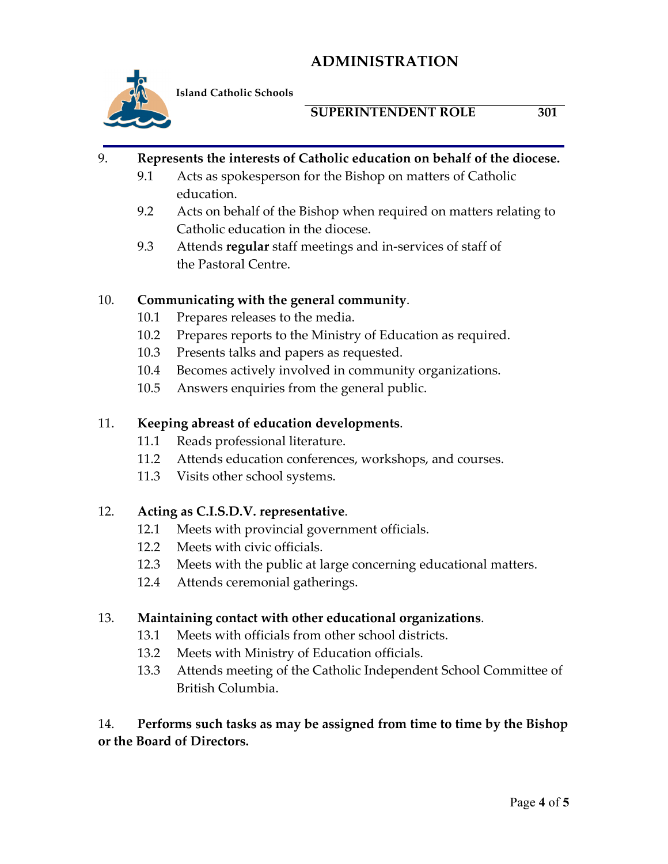

**Island Catholic Schools** 

### **SUPERINTENDENT ROLE 301**

#### 9. **Represents the interests of Catholic education on behalf of the diocese.**

- 9.1 Acts as spokesperson for the Bishop on matters of Catholic education.
- 9.2 Acts on behalf of the Bishop when required on matters relating to Catholic education in the diocese.
- 9.3 Attends **regular** staff meetings and in-services of staff of the Pastoral Centre.

#### 10. **Communicating with the general community**.

- 10.1 Prepares releases to the media.
- 10.2 Prepares reports to the Ministry of Education as required.
- 10.3 Presents talks and papers as requested.
- 10.4 Becomes actively involved in community organizations.
- 10.5 Answers enquiries from the general public.

#### 11. **Keeping abreast of education developments**.

- 11.1 Reads professional literature.
- 11.2 Attends education conferences, workshops, and courses.
- 11.3 Visits other school systems.

## 12. **Acting as C.I.S.D.V. representative**.

- 12.1 Meets with provincial government officials.
- 12.2 Meets with civic officials.
- 12.3 Meets with the public at large concerning educational matters.
- 12.4 Attends ceremonial gatherings.

## 13. **Maintaining contact with other educational organizations**.

- 13.1 Meets with officials from other school districts.
- 13.2 Meets with Ministry of Education officials.
- 13.3 Attends meeting of the Catholic Independent School Committee of British Columbia.

14. **Performs such tasks as may be assigned from time to time by the Bishop or the Board of Directors.**